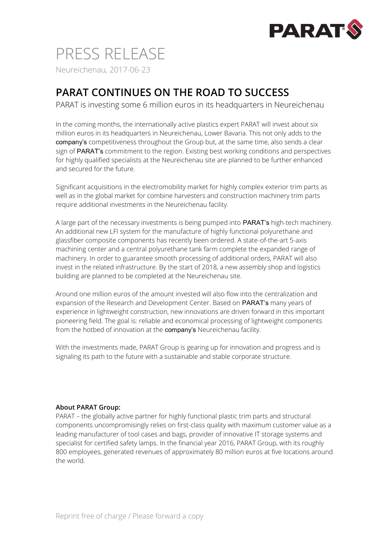

## PRESS RELEASE Neureichenau, 2017-06-23

## **PARAT CONTINUES ON THE ROAD TO SUCCESS**

PARAT is investing some 6 million euros in its headquarters in Neureichenau

In the coming months, the internationally active plastics expert PARAT will invest about six million euros in its headquarters in Neureichenau, Lower Bavaria. This not only adds to the company's competitiveness throughout the Group but, at the same time, also sends a clear sign of PARAT's commitment to the region. Existing best working conditions and perspectives for highly qualified specialists at the Neureichenau site are planned to be further enhanced and secured for the future.

Significant acquisitions in the electromobility market for highly complex exterior trim parts as well as in the global market for combine harvesters and construction machinery trim parts require additional investments in the Neureichenau facility.

A large part of the necessary investments is being pumped into PARAT's high-tech machinery. An additional new LFI system for the manufacture of highly functional polyurethane and glassfiber composite components has recently been ordered. A state-of-the-art 5-axis machining center and a central polyurethane tank farm complete the expanded range of machinery. In order to guarantee smooth processing of additional orders, PARAT will also invest in the related infrastructure. By the start of 2018, a new assembly shop and logistics building are planned to be completed at the Neureichenau site.

Around one million euros of the amount invested will also flow into the centralization and expansion of the Research and Development Center. Based on PARAT's many years of experience in lightweight construction, new innovations are driven forward in this important pioneering field. The goal is: reliable and economical processing of lightweight components from the hotbed of innovation at the **company's** Neureichenau facility.

With the investments made, PARAT Group is gearing up for innovation and progress and is signaling its path to the future with a sustainable and stable corporate structure.

## **About PARAT Group:**

PARAT – the globally active partner for highly functional plastic trim parts and structural components uncompromisingly relies on first-class quality with maximum customer value as a leading manufacturer of tool cases and bags, provider of innovative IT storage systems and specialist for certified safety lamps. In the financial year 2016, PARAT Group, with its roughly 800 employees, generated revenues of approximately 80 million euros at five locations around the world.